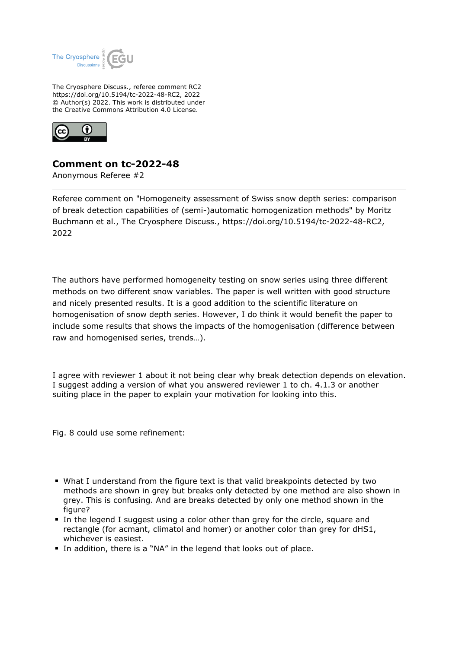

The Cryosphere Discuss., referee comment RC2 https://doi.org/10.5194/tc-2022-48-RC2, 2022 © Author(s) 2022. This work is distributed under the Creative Commons Attribution 4.0 License.



## **Comment on tc-2022-48**

Anonymous Referee #2

Referee comment on "Homogeneity assessment of Swiss snow depth series: comparison of break detection capabilities of (semi-)automatic homogenization methods" by Moritz Buchmann et al., The Cryosphere Discuss., https://doi.org/10.5194/tc-2022-48-RC2, 2022

The authors have performed homogeneity testing on snow series using three different methods on two different snow variables. The paper is well written with good structure and nicely presented results. It is a good addition to the scientific literature on homogenisation of snow depth series. However, I do think it would benefit the paper to include some results that shows the impacts of the homogenisation (difference between raw and homogenised series, trends…).

I agree with reviewer 1 about it not being clear why break detection depends on elevation. I suggest adding a version of what you answered reviewer 1 to ch. 4.1.3 or another suiting place in the paper to explain your motivation for looking into this.

Fig. 8 could use some refinement:

- What I understand from the figure text is that valid breakpoints detected by two methods are shown in grey but breaks only detected by one method are also shown in grey. This is confusing. And are breaks detected by only one method shown in the figure?
- In the legend I suggest using a color other than grey for the circle, square and rectangle (for acmant, climatol and homer) or another color than grey for dHS1, whichever is easiest.
- In addition, there is a "NA" in the legend that looks out of place.